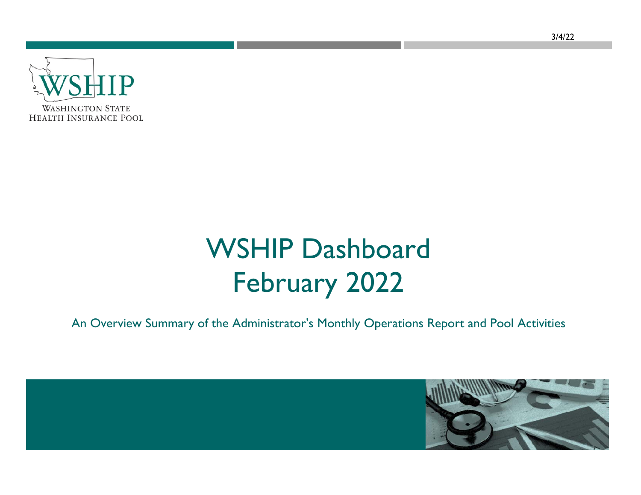

# WSHIP Dashboard February 2022

An Overview Summary of the Administrator's Monthly Operations Report and Pool Activities

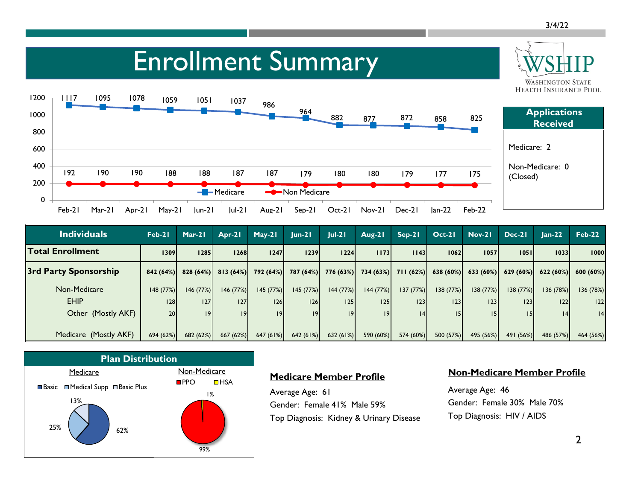## Enrollment Summary



| <b>Individuals</b>       | Feb-21   | $Mar-21$             | Apr-21    | $May-21$  | $ un-2 $            | $ ul-2 $  | Aug-21                           | $Sep-21$  | $Oct-21$  | $Nov-21$              | $Dec-21$  | $lan-22$  | $Feb-22$  |
|--------------------------|----------|----------------------|-----------|-----------|---------------------|-----------|----------------------------------|-----------|-----------|-----------------------|-----------|-----------|-----------|
| <b>Total Enrollment</b>  | 1309     | 1285                 | 1268      | 1247      | 1239                | 1224      | 1173                             | 1143      | 1062      | 1057                  | 1051      | 10331     | 1000      |
| 3rd Party Sponsorship    |          | $842(64%)$ 828 (64%) | 813(64%)  |           | 792 (64%) 787 (64%) |           | $776(63%)$ $734(63%)$ $711(62%)$ |           |           | $638(60\%)$ 633 (60%) | 629(60%)  | 622(60%)  | 600(60%)  |
| Non-Medicare             | 148(77%) | 146(77%)             | 146(77%)  | 145 (77%) | 145(77%)            | 144 (77%) | 144 (77%)                        | 137(77%)  | 138(77%)  | 138 (77%)             | 138(77%)  | 136 (78%) | 136 (78%) |
| <b>EHIP</b>              | 28       | 127                  | 27        | 126       | 126                 | 125       | 125                              | 23        | 23        | 23                    | 123       | 22        | 22        |
| Other (Mostly AKF)       | 20       | 9                    | 9         | 9         | 9                   | 9         | $ 9\rangle$                      | 4         | 151       | 15                    |           | 4         | 4         |
|                          |          |                      |           |           |                     |           |                                  |           |           |                       |           |           |           |
| (Mostly AKF)<br>Medicare | 694(62%) | 682 (62%)            | 667 (62%) | 647(61%)  | 642(61%)            | 632 (61%) | 590 (60%)                        | 574 (60%) | 500 (57%) | 495 (56%)             | 491 (56%) | 486 (57%) | 464 (56%) |



#### **Medicare Member Profile**

Average Age: 61 Gender: Female 41% Male 59% Top Diagnosis: Kidney & Urinary Disease

#### **Non-Medicare Member Profile**

Average Age: 46 Gender: Female 30% Male 70% Top Diagnosis: HIV / AIDS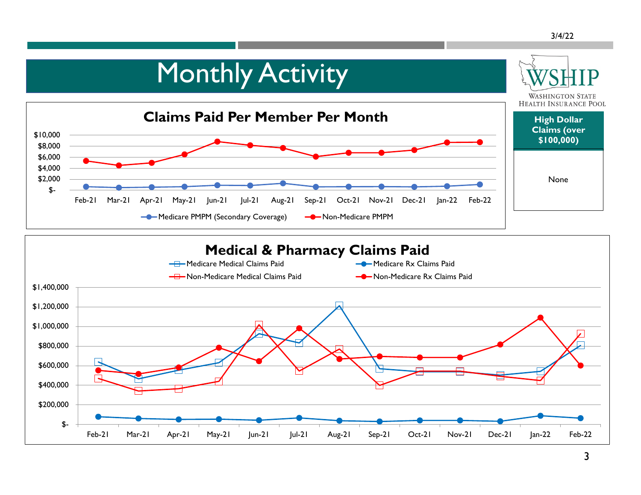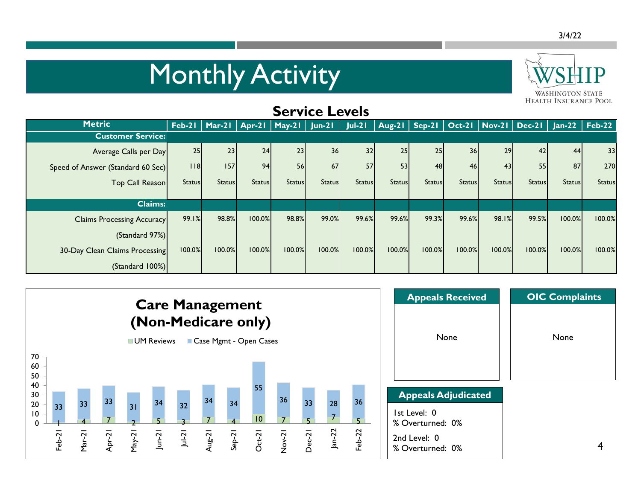## **Monthly Activity**



| <b>Service Levels</b>             |               |               |                                            |               |               |               |               |               |               |               |                                            |               |               |
|-----------------------------------|---------------|---------------|--------------------------------------------|---------------|---------------|---------------|---------------|---------------|---------------|---------------|--------------------------------------------|---------------|---------------|
| <b>Metric</b>                     |               |               | Feb-21   Mar-21   Apr-21   May-21   Jun-21 |               |               | $Jul-21$      |               |               |               |               | Aug-21   Sep-21   Oct-21   Nov-21   Dec-21 | $Jan-22$      | $Feb-22$      |
| <b>Customer Service:</b>          |               |               |                                            |               |               |               |               |               |               |               |                                            |               |               |
| Average Calls per Day             | 25            | 23            | 24                                         | 23            | 36            | 32            | 25            | 25            | 36            | 29            | 42                                         | 44            | 33            |
| Speed of Answer (Standard 60 Sec) | $ $ $ $ 8     | 157           | 94                                         | 56            | 67            | 57            | 53            | 48            | 46            | 43            | 55                                         | 87            | 270           |
| Top Call Reason                   | <b>Status</b> | <b>Status</b> | <b>Status</b>                              | <b>Status</b> | <b>Status</b> | <b>Status</b> | <b>Status</b> | <b>Status</b> | <b>Status</b> | <b>Status</b> | <b>Status</b>                              | <b>Status</b> | <b>Status</b> |
|                                   |               |               |                                            |               |               |               |               |               |               |               |                                            |               |               |
| <b>Claims:</b>                    |               |               |                                            |               |               |               |               |               |               |               |                                            |               |               |
| <b>Claims Processing Accuracy</b> | 99.1%         | 98.8%         | 100.0%                                     | 98.8%         | 99.0%         | 99.6%         | 99.6%         | 99.3%         | 99.6%         | 98.1%         | 99.5%                                      | 100.0%        | 100.0%        |
| (Standard 97%)                    |               |               |                                            |               |               |               |               |               |               |               |                                            |               |               |
| 30-Day Clean Claims Processing    | 100.0%        | 100.0%        | 100.0%                                     | 100.0%        | 100.0%        | 100.0%        | 100.0%        | 100.0%        | 100.0%        | 100.0%        | 100.0%                                     | 100.0%        | 100.0%        |
| (Standard 100%)                   |               |               |                                            |               |               |               |               |               |               |               |                                            |               |               |